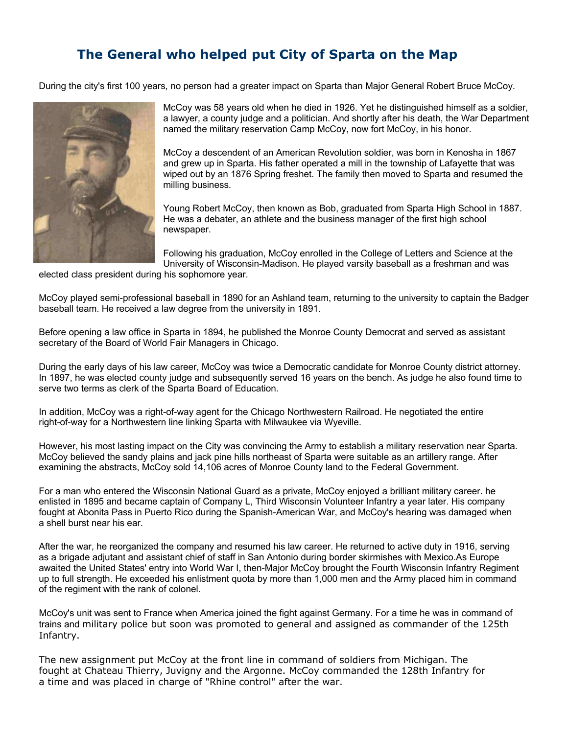## **The General who helped put City of Sparta on the Map**

During the city's first 100 years, no person had a greater impact on Sparta than Major General Robert Bruce McCoy.



McCoy was 58 years old when he died in 1926. Yet he distinguished himself as a soldier, a lawyer, a county judge and a politician. And shortly after his death, the War Department named the military reservation Camp McCoy, now fort McCoy, in his honor.

McCoy a descendent of an American Revolution soldier, was born in Kenosha in 1867 and grew up in Sparta. His father operated a mill in the township of Lafayette that was wiped out by an 1876 Spring freshet. The family then moved to Sparta and resumed the milling business.

Young Robert McCoy, then known as Bob, graduated from Sparta High School in 1887. He was a debater, an athlete and the business manager of the first high school newspaper.

Following his graduation, McCoy enrolled in the College of Letters and Science at the University of Wisconsin-Madison. He played varsity baseball as a freshman and was

elected class president during his sophomore year.

McCoy played semi-professional baseball in 1890 for an Ashland team, returning to the university to captain the Badger baseball team. He received a law degree from the university in 1891.

Before opening a law office in Sparta in 1894, he published the Monroe County Democrat and served as assistant secretary of the Board of World Fair Managers in Chicago.

During the early days of his law career, McCoy was twice a Democratic candidate for Monroe County district attorney. In 1897, he was elected county judge and subsequently served 16 years on the bench. As judge he also found time to serve two terms as clerk of the Sparta Board of Education.

In addition, McCoy was a right-of-way agent for the Chicago Northwestern Railroad. He negotiated the entire right-of-way for a Northwestern line linking Sparta with Milwaukee via Wyeville.

However, his most lasting impact on the City was convincing the Army to establish a military reservation near Sparta. McCoy believed the sandy plains and jack pine hills northeast of Sparta were suitable as an artillery range. After examining the abstracts, McCoy sold 14,106 acres of Monroe County land to the Federal Government.

For a man who entered the Wisconsin National Guard as a private, McCoy enjoyed a brilliant military career. he enlisted in 1895 and became captain of Company L, Third Wisconsin Volunteer Infantry a year later. His company fought at Abonita Pass in Puerto Rico during the Spanish-American War, and McCoy's hearing was damaged when a shell burst near his ear.

After the war, he reorganized the company and resumed his law career. He returned to active duty in 1916, serving as a brigade adjutant and assistant chief of staff in San Antonio during border skirmishes with Mexico.As Europe awaited the United States' entry into World War I, then-Major McCoy brought the Fourth Wisconsin Infantry Regiment up to full strength. He exceeded his enlistment quota by more than 1,000 men and the Army placed him in command of the regiment with the rank of colonel.

McCoy's unit was sent to France when America joined the fight against Germany. For a time he was in command of trains and military police but soon was promoted to general and assigned as commander of the 125th Infantry.

The new assignment put McCoy at the front line in command of soldiers from Michigan. The fought at Chateau Thierry, Juvigny and the Argonne. McCoy commanded the 128th Infantry for a time and was placed in charge of "Rhine control" after the war.